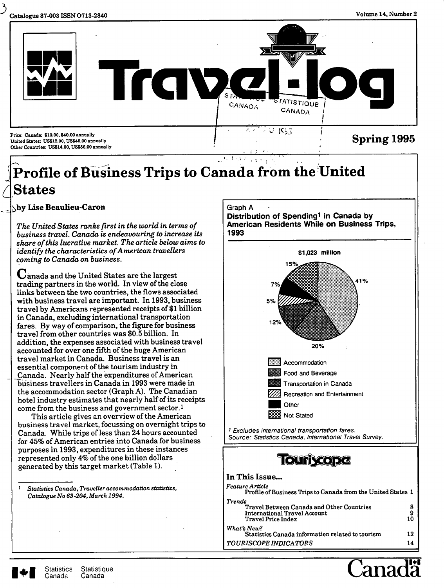

# **c States**  '• I •. I **I '^ Profile of Business Trips to Canada from the United**

^jby **Lise Beaulieu-Caron** 

*The United States ranks first in the world in terms of business travel. Canada is endeavouring to increase its share of this lucrative market. The article below aims to identify the characteristics of American travellers coming to Canada on business.* 

C^anada and the United States are the largest trading partners in the world. In view of the close links between the two countries, the flows associated with business travel are important. In 1993, business travel by Americans represented receipts of \$1 billion in Canada, excluding international transportation fares. By way of comparison, the figure for business travel from other countries was \$0.5 billion. In addition, the expenses associated with business travel accounted for over one fifth of the huge American travel market in Canada. Business travel is an essential component of the tourism industry in Canada. Nearly half the expenditures of American business travellers in Canada in 1993 were made in the accommodation sector (Graph A). The Canadian hotel industry estimates that nearly half of its receipts come from the business and government sector, l

This article gives an overview of the American business travel market, focussing on overnight trips to Canada. While trips of less than 24 hours accounted for 45% of American entries into Canada for business purposes in 1993, expenditures in these instances represented only 4% of the one billion dollars generated by this target market (Table 1).

' *Statistics Canada, Traveller accommodation statistics. Catalogue No 63-204, March 1994.* 

**Graph A** 

**Distribution of Spending^ in Canada by American Residents While on Business Trips, 1993** 





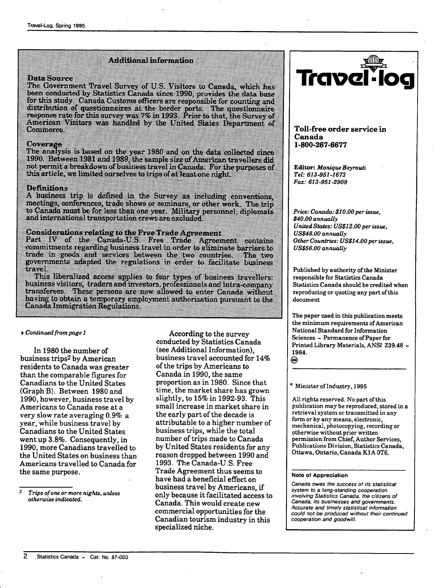## AGRICO INTERNATIONI

### o a santa

The Government Travel Survey of U.S. Visitors to Canada, which has been conducted by Statistics Canada since 1990, provides the data base for this study Canada Customs officers are responsible for counting and distribution of questionnaires at the border ports. The questionnaire<br>response rate for this survey was 7% in 1993. Prior to that, the Survey of American Visitors was handled by the United Slates Department of Commerce

#### **C<jfV«»^agiO:**

The analysis is based on the year 1980 and on the data collected since 1990. Between 1981 and 1989, the sample size of American travellers did  $\overline{\text{mol}}$  permit a breakdown of business travel in Canada. For the purposes of this article, we limited ourselves to trips of at least one night.

#### l>oiSinMiE>n\$

A business trip is defined in the Survey as including conventions, meetings, conferences, trade shows or seminars, or other work. The trip to Canada must be for less than one year. Military personnel, diplomate and international transportation crews are excluded.

Considerations relating to the Free Trade Agreement<br>Part IV of the Canada-U.S. Free Trade Agreement contains commitments regarding business iravel in order to eliminate harriers to trade in goods and services between the two countries. The two<br>governments adapted the regulations in order to facilitate business travel.

This liberalized access applies to four types of business travellers; business visitors, traders and investors, professionals and intra-company transferees. These persons are now allowed to enter Canada without baving to obtain a temporary employment authorization pursuant to the Canada Immigration Regulations,

#### • *Continued from page 1*

In 1980 the number of business trips2 by American residents to Canada was greater than the comparable figures for Canadians to the United States (Graph B). Between 1980 and 1990, however, business travel by Americans to Canada rose at a very slow rate averaging 0.9% a year, while business travel by Canadians to the United States went up 3.8%. Consequently, in 1990, more Canadians travelled to the United States on business than Americans travelled to Canada for the same purpose.

According to the survey conducted by Statistics Canada (see Additional Information), business travel accounted for 14% of the trips by Americans to Canada in 1990, the same proportion as in 1980. Since that time, the market share has grown slightly, to 15% in 1992-93. This small increase in market share in the early part of the decade is attributable to a higher number of business trips, while the total number of trips made to Canada by United States residents for any reason dropped between 1990 and 1993. The Canada-U.S. Free Trade Agreement thus seems to have had a beneficial effect on business travel by Americans, if only because it facilitated access to Canada. This would create new commercial opportunities for the Canadian tourism industry in this specialized niche.



**Toll-free order service in Canada 1-800-267-6677** 

**Editor:** *Monique Beyrouti Tel: 613-951-1673 Fax: 613-951-2909* 

*Price: Canada: \$10.00per issue, \$40.00 annually United States: US\$12.00 per issue, US\$48.00 annually Other Countries: US\$14.00 per issue, US\$56.00 annually* 

Published by authority of the Minister responsible for Statistics Canada Statistics Canada should be credited when reproducing or quoting any part of this document

The paper used in this publication meets the minimum requirements of American National Standard for Information Sciences - Permanence of Paper for Printed Library Materials, ANSI Z39.48 - 1984. ⊝

### *'* Minister of Industry, 1995

All rights reserved. No part of this publication may be reproduced, stored in a retrieval system or transmitted in any form or by any means, electronic, mechanical, photocopying, recording or otherwise without prior written permission from Chief, Author Services, Publications Division, Statistics Canada, Ottawa, Ontario, Canada K1A 0T6.

#### **Note of Appreciation**

Canada owes the success of its statistical system to a long-standing cooperation involving Statistics Canada, the citizens of Canada, its businesses and governments. Accurate and timely statistical information could not be produced without their continued cooperation and goodwill.

 $\overline{2}$ *Trips of one or more nights, unless otherwise indicated.*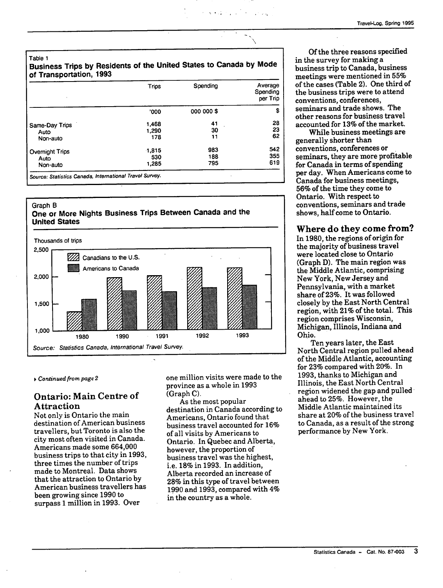**Table 1** 

### **Business Trips by Residents of the United States to Canada by Mode of Transportation, 1993**

|                 | <b>Trips</b> | Spending   | Average<br>Spending<br>per Trip |
|-----------------|--------------|------------|---------------------------------|
|                 | '000         | 000 000 \$ | \$                              |
| Same-Day Trips  | 1,468        | 41         | 28                              |
| Auto            | 1,290        | 30         | 23                              |
| Non-auto        | 178          | 11         | 62                              |
| Overnight Trips | $-1.815$     | 983        | 542                             |
| Auto            | 530          | 188        | 355                             |
| Non-auto        | 1,285        | 795        | 619                             |

### **Graph B One or More Nights Business Trips Between Canada and the United States**



**^** *Continued from page 2* 

### Ontario: Main Centre of Attraction

Not only is Ontario the main destination of American business travellers, but Toronto is also the city most often visited in Canada. Americans made some 664,000 business trips to that city in 1993, three times the number of trips made to Montreal. Data shows that the attraction to Ontario by American business travellers has been growing since 1990 to surpass 1 million in 1993. Over

one million visits were made to the province as a whole in 1993 (Graph C).

As the most popular destination in Canada according to Americans, Ontario found that business travel accounted for 16% of all visits by Americans to Ontario. In Quebec and Alberta, however, the proportion of business travel was the highest, i.e. 18% in 1993. In addition. Alberta recorded an increase of 28% in this type of travel between 1990 and 1993, compared with 4% in the country as a whole.

Of the three reasons specified in the survey for making a business trip to Canada, business meetings were mentioned in 55% of the cases (Table 2). One third of the business trips were to attend conventions, conferences, seminars and trade shows. The other reasons for business travel accounted for 13% of the market.

While business meetings are generally shorter than conventions, conferences or seminars, they are more profitable for Canada in terms of spending per day. When Americans come to Canada for business meetings, 56% of the time they come to Ontario. With respect to conventions, seminars and trade shows, half come to Ontario.

### Where do they come from?

In 1980, the regions of origin for the majority of business travel were located close to Ontario (Graph D). The main region was the Middle Atlantic, comprising New York, New Jersey and Pennsylvania, with a market share of 23%. It was followed closely by the East North Central region, with 21% of the total. This region comprises Wisconsin, Michigan, Illinois, Indiana and Ohio.

Ten years later, the East North Central region pulled ahead of the Middle Atlantic, accounting for 23% compared with 20%. In 1993, thanks to Michigan and Illinois, the East North Central region widened the gap and pulled ahead to 25%. However, the Middle Atlantic maintained its share at 20% of the business travel to Canada, as a result of the strong performance by New York.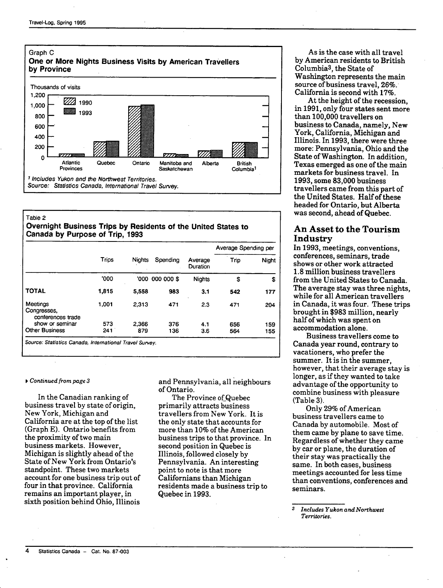

### Table 2 **Overnight Business Trips by Residents of the United States to Canada by Purpose of Trip, 1993**

|                                              | Trips | <b>Nights</b> | Spending        | Average<br>Duration | Average Spending per |       |
|----------------------------------------------|-------|---------------|-----------------|---------------------|----------------------|-------|
|                                              |       |               |                 |                     | Trio                 | Night |
|                                              | '000  |               | '000 000 000 \$ | <b>Nights</b>       | \$                   | \$    |
| <b>TOTAL</b>                                 | 1,815 | 5,558         | 983             | 3.1                 | 542                  | 177   |
| Meetings<br>Congresses,<br>conferences trade | 1.001 | 2.313         | 471             | 2.3                 | 471                  | 204   |
| show or seminar                              | 573   | 2.366         | 376             | 4.1                 | 656                  | 159   |
| <b>Other Business</b>                        | 241   | 879           | 136             | 3.6                 | 564                  | 155   |

#### *V Continued from page 3*

In the Canadian ranking of business travel by state of origin. New York, Michigan and California are at the top of the list (Graph E). Ontario benefits from the proximity of two main business markets. However, Michigan is slightly ahead of the State of New York from Ontario's standpoint. These two markets account for one business trip out of four in that province. California remains an important player, in sixth position behind Ohio, Illinois

and Pennsylvania, all neighbours of Ontario.

The Province of Quebec primarily attracts business travellers from New York. It is the only state that accounts for more than 10% of the American business trips to that province. In second position in Quebec is Illinois, followed closely by Pennsylvania. An interesting point to note is that more Californians than Michigan residents made a business trip to Quebec in 1993.

As is the case with all travel by American residents to British Columbia3, the State of Washington represents the main source of business travel, 26%. California is second with 17%.

At the height of the recession, in 1991, only four states sent more than 100,000 travellers on business to Canada, namely, New York, California, Michigan and Illinois. In 1993, there were three more: Pennsylvania, Ohio and the State of Washington. In addition, Texas emerged as one of the main markets for business travel. In 1993, some 83,000 business travellers came from this part of the United States. Half of these headed for Ontario, but Alberta was second, ahead of Quebec.

### An Asset to the Tourism Industry

In 1993, meetings, conventions, conferences, seminars, trade shows or other work attracted 1.8 million business travellers from the United States to Canada. The average stay was three nights, while for all American travellers in Canada, it was four. These trips brought in \$983 million, nearly half of which was spent on accommodation alone.

Business travellers come to Canada year round, contrary to vacationers, who prefer the summer. It is in the summer, however, that their average stay is longer, as if they wanted to take advantage of the opportunity to combine business with pleasure (Table 3).

Only 29% of American business travellers came to Canada by automobile. Most of them came by plane to save time. Regardless of whether they came by car or plane, the duration of their stay was practically the same. In both cases, business meetings accounted for less time than conventions, conferences and seminars.

<sup>3</sup> *Includes Yukon and Northwest Territories.*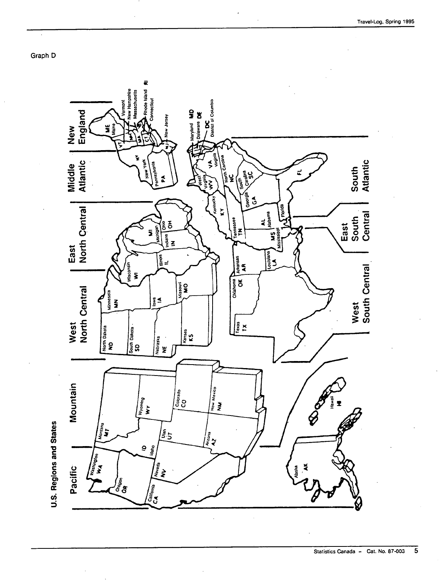Graph D

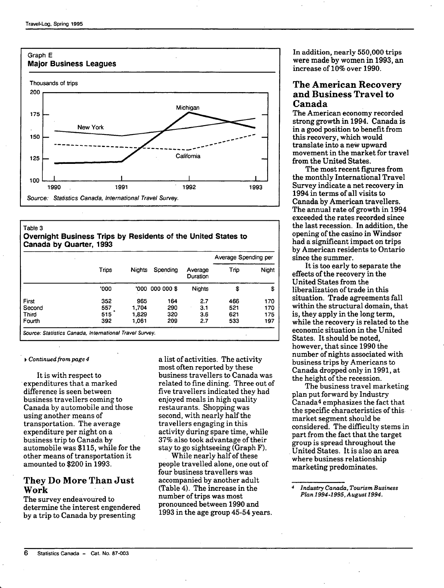

### Table 3 **Overnight Business Trips by Residents of the United States to Canada by Quarter, 1993**

|        | Trips | <b>Nights</b> | Spending        | Average<br>Duration | Average Spending per |       |
|--------|-------|---------------|-----------------|---------------------|----------------------|-------|
|        |       |               |                 |                     | Trio                 | Night |
|        | '000  |               | '000 000 000 \$ | <b>Nights</b>       | \$                   | \$    |
| First  | 352   | 965           | 164             | 2.7                 | 466                  | 170   |
| Second | 557   | 1.704         | 290             | 3.1                 | 521                  | 170   |
| Third  | 515   | 1.829         | 320             | 3.6                 | 621                  | 175   |
| Fourth | 392   | 1.061         | 209             | 2.7                 | 533                  | 197   |

#### *V Continued from page 4*

It is with respect to expenditures that a marked difference is seen between business travellers coming to Canada by automobile and those using another means of transportation. The average expenditure per night on a business trip to Canada by automobile was \$115, while for the other means of transportation it amounted to \$200 in 1993.

### They Do More Than Just Work

The survey endeavoured to determine the interest engendered by a trip to Canada by presenting

a list of activities. The activity most often reported by these business travellers to Canada was related to fine dining. Three out of five travellers indicated they had enjoyed meals in high quality restaurants. Shopping was second, with nearly half the travellers engaging in this activity during spare time, while 37% also took advantage of their stay to go sightseeing (Graph F).

While nearly half of these people travelled alone, one out of four business travellers was accompanied by another adult (Table 4). The increase in the number of trips was most pronounced between 1990 and 1993 in the age group 45-54 years. In addition, nearly 550,000 trips were made by women in 1993, an increase of 10% over 1990.

### The American Recovery and Business Travel to Canada

The American economy recorded strong growth in 1994. Canada is in a good position to benefit from this recovery, which would translate into a new upward movement in the market for travel from the United States.

The most recent figures from the monthly International Travel Survey indicate a net recovery in 1994 in terms of all visits to Canada by American travellers. The annual rate of growth in 1994 exceeded the rates recorded since the last recession. In addition, the opening of the casino in Windsor had a significant impact on trips by American residents to Ontario since the summer.

It is too early to separate the effects of the recovery in the United States from the liberalization of trade in this situation. Trade agreements fall within the structural domain, that is, they apply in the long term, while the recovery is related to the economic situation in the United States. It should be noted, however, that since 1990 the number of nights associated with business trips by Americans to Canada dropped only in 1991, at the height of the recession.

The business travel marketing plan put forward by Industry Canada<sup>4</sup> emphasizes the fact that the specific characteristics of this market segment should be considered. The difficulty stems in part from the fact that the target group is spread throughout the United States. It is also an area where business relationship marketing predominates.

*Industry Canada, Tourism Business Plan 1994-1995, August 1994.*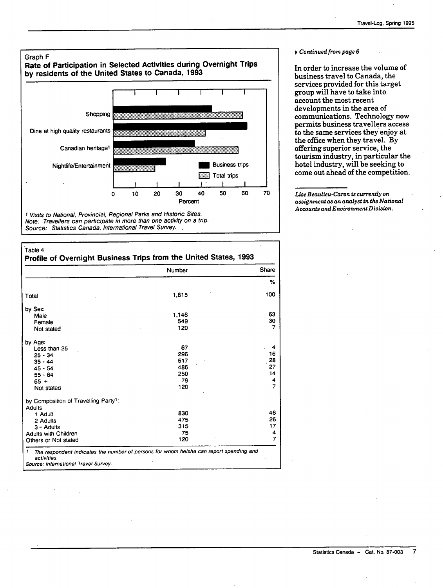

#### .<br>Table 4

#### **Profile of Overnight Business Trips from the United States, 1993**  Total by Sex: Male Female Not stated by Age: Less than 25 25 - 34  $35 - 44$  $45 - 54$ 55 - 64 65 + Not Stated by Composition of Travelling Party': **Adults** 1 Adult 2 Adults 3 + Adults **Adults with Children** Others or Not stated <sup>1</sup> The respondent indicates the number of persons for whom helshe can report spending and activities. Number 1,815 1,146 549 120 67 296 517 486 250 79 120 830 475 315 75 120 Share **%**  100 63 30 7 4 16 28 27 14 4 7 46 26 17 4 7

Source: International Travel Survey.

#### *f Continued from page 6*

In order to increase the volume of business travel to Canada, the services provided for this target group will have to take into account the most recent developments in the area of communications. Technology now permits business travellers access to the same services they enjoy at the office when they travel. By offering superior service, the tourism industry, in particular the hotel industry, will be seeking to come out ahead of the competition.

*Lise Beaulieu-Caron is currently on assignment as an analyst in the National Accounts and Environment Division.*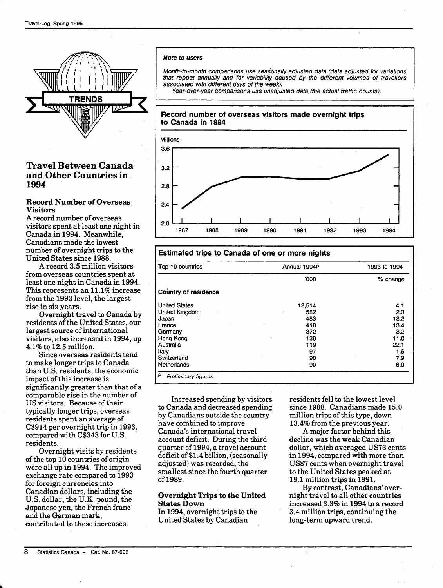

### Travel Between Canada and Other Countries in 1994

### **Record Number of Overseas Visitors**

A record number of overseas visitors spent at least one night in Canada in 1994. Meanwhile, Canadians made the lowest number of overnight trips to the United States since 1988.

A record 3.5 million visitors from overseas countries spent at least one night in Canada in 1994. This represents an 11.1% increase from the 1993 level, the largest rise in six years.

Overnight travel to Canada by residents of the United States, our largest source of international visitors, also increased in 1994, up 4.1% to 12.5 million.

Since overseas residents tend to make longer trips to Canada than U.S. residents, the economic impact of this increase is significantly greater than that of a comparable rise in the number of US visitors. Because of their typically longer trips, overseas residents spent an average of C\$914 per overnight trip in 1993, compared with C\$343 for U.S. residents.

Overnight visits by residents of the top 10 countries of origin were all up in 1994. The improved exchange rate compared to 1993 for foreign currencies into Canadian dollars, including the U.S. dollar, the U.K. pound, the Japanese yen, the French franc and the German mark, contributed to these increases.

### **Note to users**

Month-to-month comparisons use seasonally adjusted data (data adjusted for variations that repeat annually and for variability caused by the different volumes of travellers associated with different days of the week).

Year-over-year comparisons use unadjusted data (the actual traffic counts).

**Record number of overseas visitors made overnight trips to Canada in 1994** 



## **Estimated trips to Canada of one or more nights**

| Top 10 countries     | Annual 1994P | 1993 to 1994 |  |
|----------------------|--------------|--------------|--|
|                      | '000         | % change     |  |
| Country of residence |              |              |  |
| <b>United States</b> | 12,514       | 4.1          |  |
| United Kingdom       | 582          | 2.3          |  |
| Japan                | 483          | 18.2         |  |
| France               | 410          | 13.4         |  |
| Germany              | 372          | 8.2          |  |
| Hong Kong            | 130          | 11.0         |  |
| Australia            | 119          | 22.1         |  |
| Italy                | 97           | 1.6          |  |
| Switzerland          | 90           | 7.9          |  |
| Netherlands          | 90           | 6.0          |  |

Increased spending by visitors to Canada and decreased spending by Canadians outside the country have combined to improve Canada's international travel account deficit. During the third quarter of 1994, a travel account deficit of \$1.4 billion, (seasonally adjusted) was recorded, the smallest since the fourth quarter of1989.

### **Overnight Trips to the United States Down**

In 1994, overnight trips to the United States by Canadian

residents fell to the lowest level since 1988. Canadians made 15.0 million trips of this type, down 13.4% from the previous year.

A major factor behind this decline was the weak Canadian dollar, which averaged US73 cents in 1994, compared with more than US87 cents when overnight travel to the United States peaked at 19.1 million trips in 1991.

By contrast, Canadians' overnight travel to all other countries increased 3.3% in 1994 to a record 3.4 million trips, continuing the long-term upward trend.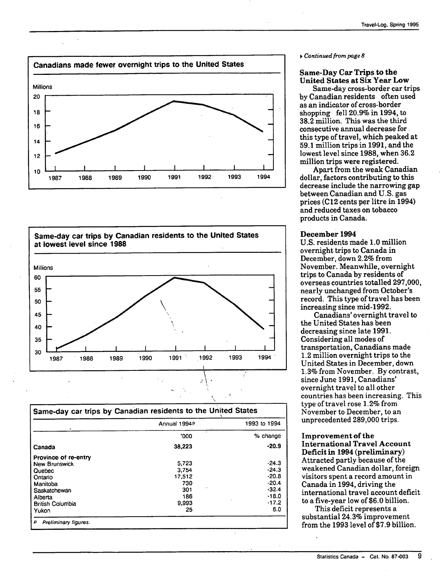



|                         | Annual 1994P | 1993 to 1994        |  |
|-------------------------|--------------|---------------------|--|
|                         | '000         | % change<br>$-20.9$ |  |
| Canada                  | 38,223       |                     |  |
| Province of re-entry    |              |                     |  |
| <b>New Brunswick</b>    | 5.723        | $-24.3$             |  |
| Quebec                  | 3.754        | $-24.3$             |  |
| Ontario                 | 17.512       | $-20.8$             |  |
| Manitoba                | 730          | $-20.4$             |  |
| Saskatchewan            | 301          | $-32.4$             |  |
| Alberta                 | 186          | $-18.0$             |  |
| <b>British Columbia</b> | 9.993        | $-17.2$             |  |
| Yukon                   | 25           | 6.0                 |  |

#### **»** *Continued from page 8*

### **Same-Day Car Trips to the United States at Six Year Low**

Same-day cross-border car trips by Canadian residents often used as an indicator of cross-border shopping fell 20.9% in 1994, to 38.2 million. This was the third consecutive annual decrease for. this type of travel, which peaked at 59.1 million trips in 1991, and the lowest level since 1988, when 36.2 million trips were registered.

Apart from the weak Canadian dollar, factors contributing to this decrease include the narrowing gap between Canadian and U.S. gas prices (C12 cents per litre in 1994) and reduced taxes on tobacco products in Canada.

### **December 1994**

U.S. residents made 1.0 million overnight trips to Canada in December, down 2.2% from November. Meanwhile, overnight trips to Canada by residents of overseas countries totalled 297,000, nearly unchanged from October's record. This type of travel has been increasing since mid-1992.

Canadians' overnight travel to the United States has been decreasing since late 1991. Considering all modes of transportation, Canadians made 1.2 million overnight trips to the United States in December, down 1.3% from November. By contrast, since June 1991, Canadians' overnight travel to all other countries has been increasing. This type of travel rose 1.2% from November to December, to an unprecedented 289,000 trips.

### **Improvement of the International Travel Account Deficit in 1994 (preliminary)**  Attracted partly because of the weakened Canadian dollar, foreign visitors spent a record amount in Canada in 1994, driving the international travel account deficit to a five-year low of \$6.0 billion.

This deficit represents a substantial 24.3% improvement from the 1993 level of \$7.9 billion.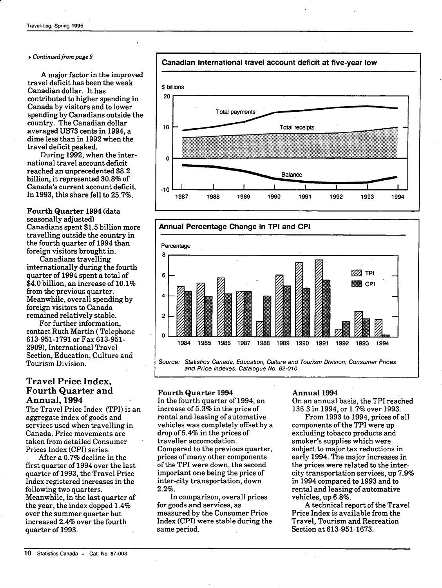### **•** *Continued from page 9*

*A* major factor in the improved travel deficit has been the weak Canadian dollar. It has contributed to higher spending in Canada by visitors and to lower spending by Canadians outside the country. The Canadian dollar averaged US73 cents in 1994, a dime less than in 1992 when the travel deficit peaked.

During 1992, when the international travel account deficit reached an unprecedented \$8.2. billion, it represented 30.8% of Canada's current account deficit. In 1993, this share fell to 25.7%.

**Fourth Quarter 1994** (data seasonally adjusted) Canadians spent \$1.5 billion more travelling outside the country in the fourth quarter of 1994 than foreign visitors brought in.

Canadians travelling internationally during the fourth quarter of 1994 spent a total of \$4.0 billion, an increase of 10.1% from the previous quarter. Meanwhile, overall spending by foreign visitors to Canada remained relatively stable.

For further information, contact Ruth Martin (Telephone 613-951-1791 or Fax 613-951- 2909), International Travel Section, Education, Culture and Tourism Division.

### Travel Price Index, Fourth Quarter and Annual, 1994

The Travel Price Index (TPl) is an aggregate index of goods and services used when travelling in Canada. Price movements are taken from detailed Consumer Prices Index (CPI) series.

After a 0.7% decline in the first quarter of 1994 over the last quarter of 1993, the Travel Price Index registered increases in the following two quarters. Meanwhile, in the last quarter of the year, the index dopped 1.4% over the summer quarter but increased 2.4% over the fourth quarter of 1993.







### **Fourth Quarter 1994**

In the fourth quarter of 1994, an increase of 5.3% in the price of rental and leasing of automative vehicles was completely offset by a drop of 5.4% in the prices of traveller accomodation. Compared to the previous quarter, prices of many other components of the TPl were down, the second important one being the price of inter-city transportation, down 2.2%.

In comparison, overall prices for goods and services, as measured by the Consumer Price Index (CPI) were stable during the same period.

### **Annual 1994**

On an annual basis, the TPl reached 136.3 in 1994, or 1.7% over 1993.

From 1993 to 1994, prices of all components of the TPl were up excluding tobacco products and smoker's supplies which were subject to major tax reductions in early 1994. The major increases in the prices were related to the intercity transportation services, up 7.9% in 1994 compared to 1993 and to rental and leasing of automative vehicles, up 6.8%.

A technical report of the Travel Price Index is available from the Travel, Tourism and Recreation Section at 613-951-1673.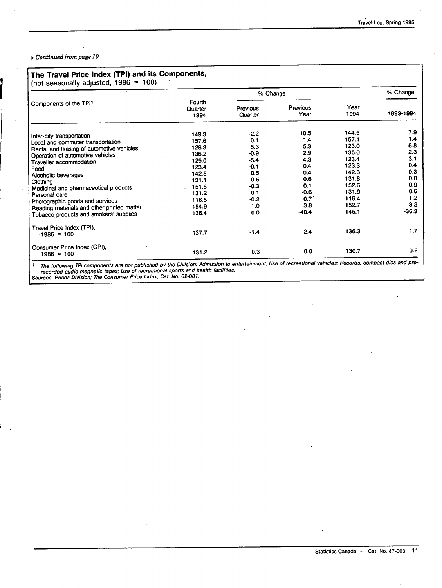### ^ *Continued from page 10*

|                                             | Fourth<br>Quarter<br>1994 | % Change            |                  |              | % Change  |
|---------------------------------------------|---------------------------|---------------------|------------------|--------------|-----------|
| Components of the TPI1                      |                           | Previous<br>Quarter | Previous<br>Year | Year<br>1994 | 1993-1994 |
| Inter-city transportation                   | 149.3                     | $-2.2$              | 10.5             | 144.5        | 7.9       |
| Local and commuter transportation           | 157.6                     | 0.1                 | 1.4              | 157.1        | 1.4       |
| Rental and leasing of automotive vehicles   | 128.3                     | 5.3                 | 5.3              | 123.0        | 6.8       |
| Operation of automotive vehicles            | 136.2                     | $-0.9$              | 2.9              | 135.0        | 2.3       |
| Traveller accommodation                     | 125.0                     | $-5.4$              | 4.3              | 123.4        | 3.1       |
| Food                                        | 123.4                     | $-0.1$              | 0.4              | 123.3        | 0.4       |
| Alcoholic beverages                         | 142.5                     | 0.5                 | 0.4              | 142.3        | 0.3       |
| Clothing                                    | 131.1                     | $-0.5$              | 0.6              | 131.8        | 0.8       |
| Medicinal and pharmaceutical products       | 151.8                     | $-0.3$              | 0.1              | 152.6        | 0.9       |
| Personal care                               | 131.2                     | 0.1                 | -0.6             | 131.9        | 0.6       |
| Photographic goods and services             | 116.5                     | $-0.2$              | 0.7              | 116.4        | 1.2       |
| Reading materials and other printed matter  | 154.9                     | 1.0                 | 3.8              | 152.7        | 3.2       |
| Tobacco products and smokers' supplies      | 136.4                     | 0.0                 | $-40.4$          | 145.1        | $-36.3$   |
| Travel Price Index (TPI),<br>$1986 = 100$   | 137.7                     | $-1.4$              | 2.4              | 136.3        | 1.7       |
| Consumer Price Index (CPI),<br>$1986 = 100$ | 131.2                     | 0.3                 | 0.0              | 130.7        | 0.2       |

' The following TPl components are not published by the Division: Admission to entertainment; Use of recreational vehicles; Records, compact dies and prerecorded audio magnetic tapes; Use of recreational sports and health facilities.

Sources: Prices Division; The Consumer Price Index, Cat. No. 62-001.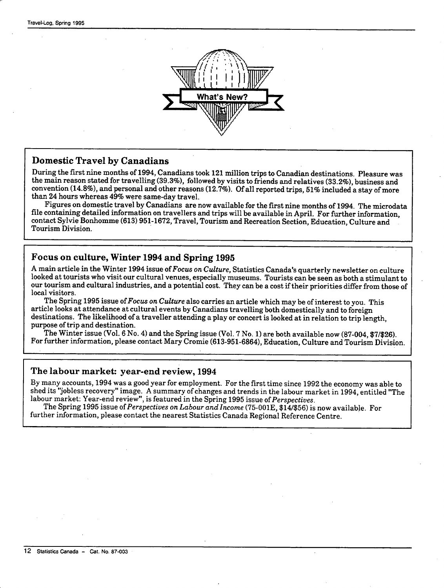

### Domestic Travel by Canadians

During the first nine months of 1994, Canadians took 121 million trips to Canadian destinations. Pleasure was the main reason stated for travelling (39.3%), followed by visits to friends and relatives (33.2%), business and convention (14.8%), and personal and other reasons (12.7%). Of all reported trips, 51% included a stay of more than 24 hours whereas 49% were same-day travel.

Figures on domestic travel by Canadians are now available for the first nine months of 1994. The microdata file containing detailed information on travellers and trips will be available in April. For further information, contact Sylvie Bonhomme (613) 951-1672, Travel, Tourism and Recreation Section, Education, Culture and Tourism Division.

### Focus on culture, Winter 1994 and Spring 1995

A main article in the Winter 1994 issue of Focus *on Culture,* Statistics Canada's quarterly newsletter on culture looked at tourists who visit our cultural venues, especially museums. Tourists can be seen as both a stimulant to our tourism and cultural industries, and a potential cost. They can be a cost if their priorities differ from those of local visitors.

The Spring 1995 issue *oiFocus on Culture* also carries an article which may be of interest to you. This article looks at attendance at cultural events by Canadians travelling both domestically and to foreign destinations. The likelihood of a traveller attending a play or concert is looked at in relation to trip length, purpose of trip and destination.

The Winter issue (Vol. 6 No. 4) and the Spring issue (Vol. 7 No. 1) are both available now (87-004, \$7/\$26). For further information, please contact Mary Cromie (613-951-6864), Education, Culture and Tourism Division.

### The labour market: year-end review, 1994

By many accounts, 1994 was a good year for employment. For the first time since 1992 the economy was able to shed its "jobless recovery" image. A summary of changes and trends in the labour market in 1994, entitled "The labour market: Year-end review", is featured in the Spring 1995 issue *of Perspectives.* 

The Spring 1995 issue *of Perspectives onLabour andlncome* (75-OOlE, \$14/\$56) is now available. For further information, please contact the nearest Statistics Canada Regional Reference Centre.